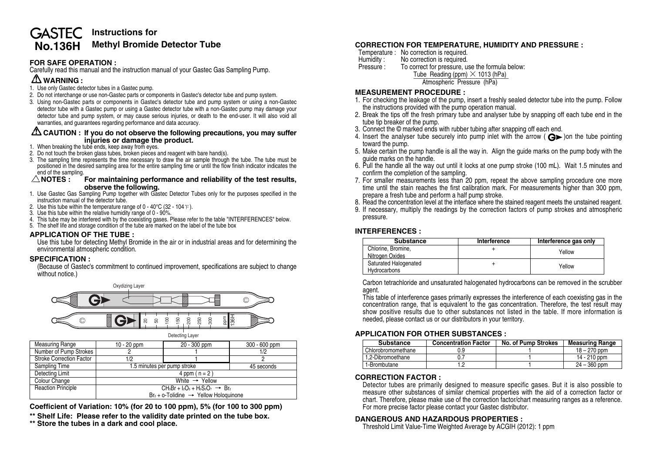## **Instructions for GASTEC No.136H Methyl Bromide Detector Tube**

## **FOR SAFE OPERATION :**

Carefully read this manual and the instruction manual of your Gastec Gas Sampling Pump.

# **WARNING :**

- 1. Use only Gastec detector tubes in a Gastec pump.
- 2. Do not interchange or use non-Gastec parts or components in Gastec's detector tube and pump system.
- 3. Using non-Gastec parts or components in Gastec's detector tube and pump system or using a non-Gastec detector tube with a Gastec pump or using a Gastec detector tube with a non-Gastec pump may damage your detector tube and pump system, or may cause serious injuries, or death to the end-user. It will also void all warranties, and guarantees regarding performance and data accuracy.

#### **CAUTION : If you do not observe the following precautions, you may suffer injuries or damage the product.**

- 1. When breaking the tube ends, keep away from eyes.
- 2. Do not touch the broken glass tubes, broken pieces and reagent with bare hand(s).
- 3. The sampling time represents the time necessary to draw the air sample through the tube. The tube must be positioned in the desired sampling area for the entire sampling time or until the flow finish indicator indicates the end of the sampling.<br> $\triangle$  **NOTES**:

#### **For maintaining performance and reliability of the test results. observe the following.**

- 1. Use Gastec Gas Sampling Pump together with Gastec Detector Tubes only for the purposes specified in the instruction manual of the detector tube.
- 2. Use this tube within the temperature range of  $0 40^{\circ}$ C (32 104 °F).
- 3. Use this tube within the relative humidity range of 0 90%.
- 4. This tube may be interfered with by the coexisting gases. Please refer to the table "INTERFERENCES" below.
- 5. The shelf life and storage condition of the tube are marked on the label of the tube box

# **APPLICATION OF THE TUBE :**

Use this tube for detecting Methyl Bromide in the air or in industrial areas and for determining the environmental atmospheric condition.

# **SPECIFICATION :**

(Because of Gastec's commitment to continued improvement, specifications are subject to change without notice.)



**Coefficient of Variation: 10% (for 20 to 100 ppm), 5% (for 100 to 300 ppm)**

**\*\* Shelf Life: Please refer to the validity date printed on the tube box.**

**\*\* Store the tubes in a dark and cool place.**

# **CORRECTION FOR TEMPERATURE, HUMIDITY AND PRESSURE :**

- Temperature : No correction is required.<br>Humidity : No correction is required.
- Humidity : No correction is required.<br>Pressure : To correct for pressure. u
	- To correct for pressure, use the formula below: Tube Reading (ppm)  $\times$  1013 (hPa)

Atmospheric Pressure (hPa)

# **MEASUREMENT PROCEDURE :**

- 1. For checking the leakage of the pump, insert a freshly sealed detector tube into the pump. Follow the instructions provided with the pump operation manual.
- 2. Break the tips off the fresh primary tube and analyser tube by snapping off each tube end in the tube tip breaker of the pump.
- 3. Connect the © marked ends with rubber tubing after snapping off each end.
- 4. Insert the analyser tube securely into pump inlet with the arrow ( $\bigoplus$ ) on the tube pointing toward the pump.
- 5. Make certain the pump handle is all the way in. Align the guide marks on the pump body with the guide marks on the handle.
- 6. Pull the handle all the way out until it locks at one pump stroke (100 mL). Wait 1.5 minutes and confirm the completion of the sampling.
- 7. For smaller measurements less than 20 ppm, repeat the above sampling procedure one more time until the stain reaches the first calibration mark. For measurements higher than 300 ppm, prepare a fresh tube and perform a half pump stroke.
- 8. Read the concentration level at the interface where the stained reagent meets the unstained reagent.
- 9. If necessary, multiply the readings by the correction factors of pump strokes and atmospheric pressure.

### **INTERFERENCES :**

| <b>Substance</b>                      | Interference | Interference gas only |
|---------------------------------------|--------------|-----------------------|
| Chlorine, Bromine,                    |              | Yellow                |
| Nitrogen Oxides                       |              |                       |
| Saturated Halogenated<br>Hydrocarbons |              | Yellow                |

Carbon tetrachloride and unsaturated halogenated hydrocarbons can be removed in the scrubber agent.

This table of interference gases primarily expresses the interference of each coexisting gas in the concentration range, that is equivalent to the gas concentration. Therefore, the test result may show positive results due to other substances not listed in the table. If more information is needed, please contact us or our distributors in your territory.

# **APPLICATION FOR OTHER SUBSTANCES :**

| <b>Substance</b>     | <b>Concentration Factor</b> | No. of Pump Strokes | Measuring Range |
|----------------------|-----------------------------|---------------------|-----------------|
| . Chlorobromomethane |                             |                     | $18 - 270$ ppm  |
| 1.2-Dibromoethane    |                             |                     | 14 - 210 ppm    |
| 1-Brombutane         |                             |                     | $24 - 360$ ppm  |

# **CORRECTION FACTOR :**

Detector tubes are primarily designed to measure specific gases. But it is also possible to measure other substances of similar chemical properties with the aid of a correction factor or chart. Therefore, please make use of the correction factor/chart measuring ranges as a reference. For more precise factor please contact your Gastec distributor.

# **DANGEROUS AND HAZARDOUS PROPERTIES :**

Threshold Limit Value-Time Weighted Average by ACGIH (2012): 1 ppm